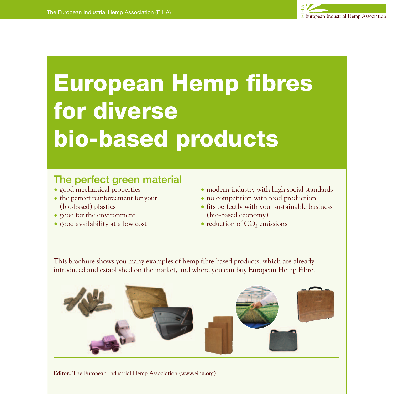

# **European Hemp fibres for diverse bio-based products**

# The perfect green material

- good mechanical properties
- the perfect reinforcement for your (bio-based) plastics
- good for the environment
- good availability at a low cost
- modern industry with high social standards
- no competition with food production
- fits perfectly with your sustainable business (bio-based economy)
- $\bullet$  reduction of CO<sub>2</sub> emissions

This brochure shows you many examples of hemp fibre based products, which are already introduced and established on the market, and where you can buy European Hemp Fibre.



**Editor:** The European Industrial Hemp Association (www.eiha.org)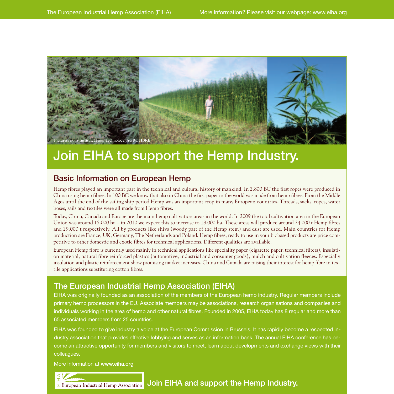

# Join EIHA to support the Hemp Industry.

## Basic Information on European Hemp

Hemp fibres played an important part in the technical and cultural history of mankind. In 2.800 BC the first ropes were produced in China using hemp fibres. In 100 BC we know that also in China the first paper in the world was made from hemp fibres. From the Middle Ages until the end of the sailing ship period Hemp was an important crop in many European countries. Threads, sacks, ropes, water hoses, sails and textiles were all made from Hemp fibres.

Today, China, Canada and Europe are the main hemp cultivation areas in the world. In 2009 the total cultivation area in the European Union was around 15.000 ha – in 2010 we expect this to increase to 18.000 ha. These areas will produce around 24.000 t Hemp fibres and 29.000 t respectively. All by products like shivs (woody part of the Hemp stem) and dust are used. Main countries for Hemp production are France, UK, Germany, The Netherlands and Poland. Hemp fibres, ready to use in your biobased products are price competitive to other domestic and exotic fibres for technical applications. Different qualities are available.

European Hemp fibre is currently used mainly in technical applications like speciality paper (cigarette paper, technical filters), insulation material, natural fibre reinforced plastics (automotive, industrial and consumer goods), mulch and cultivation fleeces. Especially insulation and plastic reinforcement show promising market increases. China and Canada are raising their interest for hemp fibre in textile applications substituting cotton fibres.

# The European Industrial Hemp Association (EIHA)

EIHA was originally founded as an association of the members of the European hemp industry. Regular members include primary hemp processors in the EU. Associate members may be associations, research organisations and companies and individuals working in the area of hemp and other natural fibres. Founded in 2005, EIHA today has 8 regular and more than 65 associated members from 25 countries.

EIHA was founded to give industry a voice at the European Commission in Brussels. It has rapidly become a respected industry association that provides effective lobbying and serves as an information bank. The annual EIHA conference has become an attractive opportunity for members and visitors to meet, learn about developments and exchange views with their colleagues.

More Information at www.eiha.org

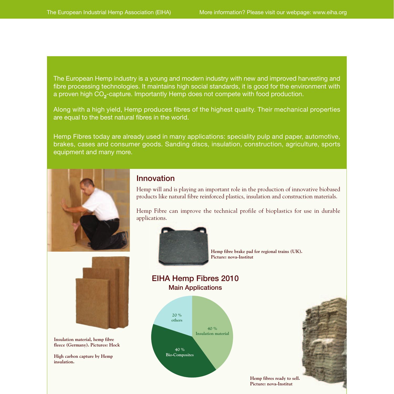The European Hemp industry is a young and modern industry with new and improved harvesting and fibre processing technologies. It maintains high social standards, it is good for the environment with a proven high CO**2**-capture. Importantly Hemp does not compete with food production.

Along with a high yield, Hemp produces fibres of the highest quality. Their mechanical properties are equal to the best natural fibres in the world.

Hemp Fibres today are already used in many applications: speciality pulp and paper, automotive, brakes, cases and consumer goods. Sanding discs, insulation, construction, agriculture, sports equipment and many more.



#### Innovation

Hemp will and is playing an important role in the production of innovative biobased products like natural fibre reinforced plastics, insulation and construction materials.

Hemp Fibre can improve the technical profile of bioplastics for use in durable applications.



**Hemp fibre brake pad for regional trains (UK). Picture: nova-Institut**



**Insulation material, hemp fibre fleece (Germany). Pictures: Hock**

**High carbon capture by Hemp insulation.**



EIHA Hemp Fibres 2010 Main Applications



**Hemp fibres ready to sell. Picture: nova-Institut**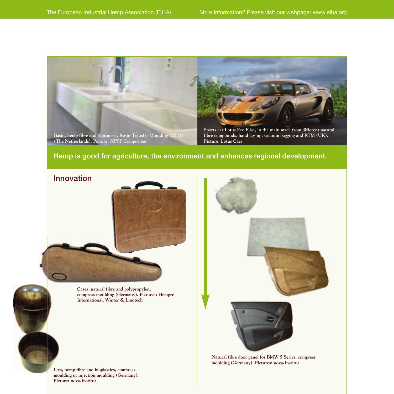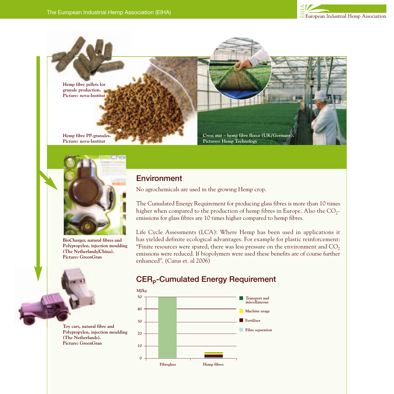





**BioCharger, natural fibres and Polypropylen, injection moulding (The Netherlands/China). Picture: GreenGran**

**Toy cars, natural fibre and Polypropylen, injection moulding (The Netherlands). Picture: GreenGran**

## **Environment**

No agrochemicals are used in the growing Hemp crop.

The Cumulated Energy Requirement for producing glass fibres is more than 10 times higher when compared to the production of hemp fibres in Europe. Also the  $CO<sub>2</sub>$ emissions for glass fibres are 10 times higher compared to hemp fibres.

Life Cycle Assessments (LCA): Where Hemp has been used in applications it has yielded definite ecological advantages. For example for plastic reinforcement: "Finite resources were spared, there was less pressure on the environment and  $CO<sub>2</sub>$ emissions were reduced. If biopolymers were used these benefits are of course further enhanced". (Carus et. al 2006)

# CER<sub>p</sub>-Cumulated Energy Requirement